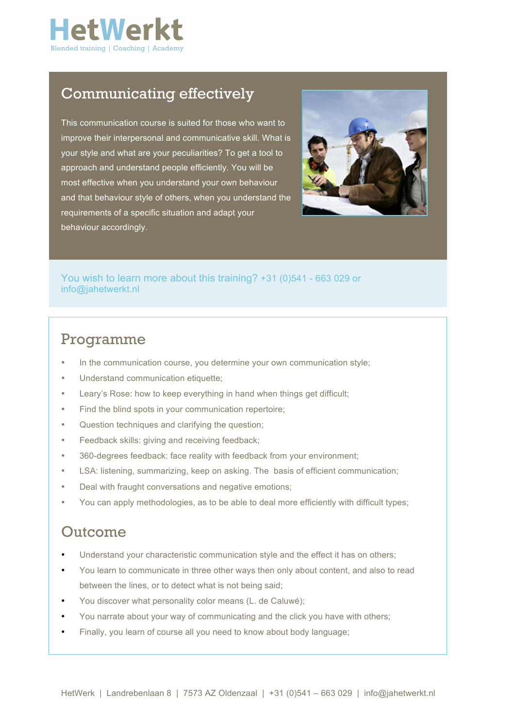

## Communicating effectively

This communication course is suited for those who want to improve their interpersonal and communicative skill. What is your style and what are your peculiarities? To get a tool to approach and understand people efficiently. You will be most effective when you understand your own behaviour and that behaviour style of others, when you understand the requirements of a specific situation and adapt your behaviour accordingly.



You wish to learn more about this training? +31 (0)541 - 663 029 or info@jahetwerkt.nl

#### Programme

- In the communication course, you determine your own communication style;
- Understand communication etiquette;
- Leary's Rose: how to keep everything in hand when things get difficult;
- Find the blind spots in your communication repertoire;
- Question techniques and clarifying the question;
- Feedback skills: giving and receiving feedback;
- 360-degrees feedback: face reality with feedback from your environment;
- LSA: listening, summarizing, keep on asking. The basis of efficient communication;
- Deal with fraught conversations and negative emotions;
- You can apply methodologies, as to be able to deal more efficiently with difficult types;

### Outcome

- Understand your characteristic communication style and the effect it has on others;
- You learn to communicate in three other ways then only about content, and also to read between the lines, or to detect what is not being said;
- You discover what personality color means (L. de Caluwé);
- You narrate about your way of communicating and the click you have with others;
- Finally, you learn of course all you need to know about body language;